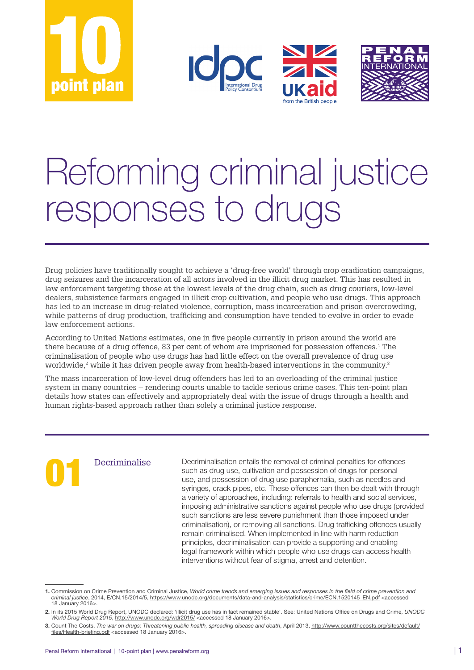





# Reforming criminal justice responses to drugs

Drug policies have traditionally sought to achieve a 'drug-free world' through crop eradication campaigns, drug seizures and the incarceration of all actors involved in the illicit drug market. This has resulted in law enforcement targeting those at the lowest levels of the drug chain, such as drug couriers, low-level dealers, subsistence farmers engaged in illicit crop cultivation, and people who use drugs. This approach has led to an increase in drug-related violence, corruption, mass incarceration and prison overcrowding, while patterns of drug production, trafficking and consumption have tended to evolve in order to evade law enforcement actions.

According to United Nations estimates, one in five people currently in prison around the world are there because of a drug offence, 83 per cent of whom are imprisoned for possession offences.<sup>1</sup> The criminalisation of people who use drugs has had little effect on the overall prevalence of drug use worldwide, $^2$  while it has driven people away from health-based interventions in the community. $^3$ 

The mass incarceration of low-level drug offenders has led to an overloading of the criminal justice system in many countries – rendering courts unable to tackle serious crime cases. This ten-point plan details how states can effectively and appropriately deal with the issue of drugs through a health and human rights‑based approach rather than solely a criminal justice response.

Decriminalise Decriminalisation entails the removal of criminal penalties for offences such as drug use, cultivation and possession of drugs for personal use, and possession of drug use paraphernalia, such as needles and s such as drug use, cultivation and possession of drugs for personal use, and possession of drug use paraphernalia, such as needles and a variety of approaches, including: referrals to health and social services, imposing administrative sanctions against people who use drugs (provided such sanctions are less severe punishment than those imposed under criminalisation), or removing all sanctions. Drug trafficking offences usually remain criminalised. When implemented in line with harm reduction principles, decriminalisation can provide a supporting and enabling legal framework within which people who use drugs can access health interventions without fear of stigma, arrest and detention.

<sup>1.</sup> Commission on Crime Prevention and Criminal Justice, *World crime trends and emerging issues and responses in the field of crime prevention and criminal justice*, 2014, E/CN.15/2014/5, [https://www.unodc.org/documents/data-and-analysis/statistics/crime/ECN.1520145\\_EN.pdf](https://www.unodc.org/documents/data-and-analysis/statistics/crime/ECN.1520145_EN.pdf) <accessed 18 January 2016>.

<sup>2.</sup> In its 2015 World Drug Report, UNODC declared: 'illicit drug use has in fact remained stable'. See: United Nations Office on Drugs and Crime, *UNODC World Drug Report 2015*, <http://www.unodc.org/wdr2015/><accessed 18 January 2016>.

<sup>3.</sup> Count The Costs, *The war on drugs: Threatening public health, spreading disease and death*, April 2013, [http://www.countthecosts.org/sites/default/](http://www.countthecosts.org/sites/default/files/Health-briefing.pdf) [files/Health-briefing.pdf](http://www.countthecosts.org/sites/default/files/Health-briefing.pdf) <accessed 18 January 2016>.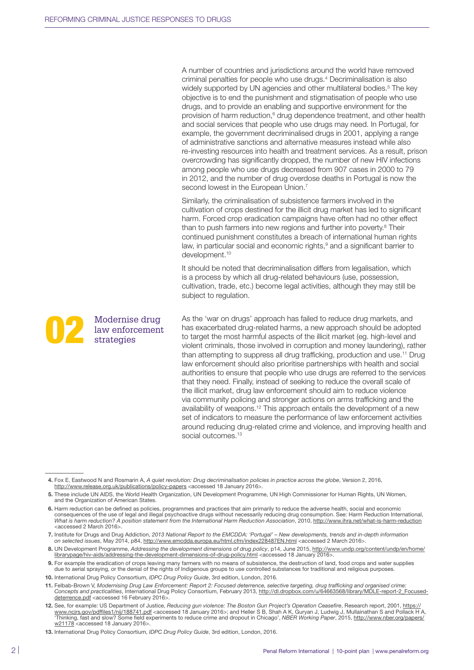Modernise drug<br>
law enforcement<br>
strategies

strategies

law enforcement

A number of countries and jurisdictions around the world have removed criminal penalties for people who use drugs.4 Decriminalisation is also widely supported by UN agencies and other multilateral bodies.<sup>5</sup> The key objective is to end the punishment and stigmatisation of people who use drugs, and to provide an enabling and supportive environment for the provision of harm reduction,<sup>6</sup> drug dependence treatment, and other health and social services that people who use drugs may need. In Portugal, for example, the government decriminalised drugs in 2001, applying a range of administrative sanctions and alternative measures instead while also re‑investing resources into health and treatment services. As a result, prison overcrowding has significantly dropped, the number of new HIV infections among people who use drugs decreased from 907 cases in 2000 to 79 in 2012, and the number of drug overdose deaths in Portugal is now the second lowest in the European Union.<sup>7</sup>

Similarly, the criminalisation of subsistence farmers involved in the cultivation of crops destined for the illicit drug market has led to significant harm. Forced crop eradication campaigns have often had no other effect than to push farmers into new regions and further into poverty.<sup>8</sup> Their continued punishment constitutes a breach of international human rights law, in particular social and economic rights,<sup>9</sup> and a significant barrier to development.<sup>10</sup>

It should be noted that decriminalisation differs from legalisation, which is a process by which all drug-related behaviours (use, possession, cultivation, trade, etc.) become legal activities, although they may still be subject to regulation.

As the 'war on drugs' approach has failed to reduce drug markets, and has exacerbated drug-related harms, a new approach should be adopted to target the most harmful aspects of the illicit market (eg. high-level and violent criminals, those involved in corruption and money laundering), rather than attempting to suppress all drug trafficking, production and use.<sup>11</sup> Drug law enforcement should also prioritise partnerships with health and social authorities to ensure that people who use drugs are referred to the services that they need. Finally, instead of seeking to reduce the overall scale of the illicit market, drug law enforcement should aim to reduce violence via community policing and stronger actions on arms trafficking and the availability of weapons.12 This approach entails the development of a new set of indicators to measure the performance of law enforcement activities around reducing drug-related crime and violence, and improving health and social outcomes.<sup>13</sup>

 <sup>4.</sup> Fox E, Eastwood N and Rosmarin A, *A quiet revolution: Drug decriminalisation policies in practice across the globe*, Version 2, 2016, <http://www.release.org.uk/publications/policy-papers> <accessed 18 January 2016>.

 <sup>5.</sup> These include UN AIDS, the World Health Organization, UN Development Programme, UN High Commissioner for Human Rights, UN Women, and the Organization of American States.

 <sup>6.</sup> Harm reduction can be defined as policies, programmes and practices that aim primarily to reduce the adverse health, social and economic consequences of the use of legal and illegal psychoactive drugs without necessarily reducing drug consumption. See: Harm Reduction International,<br>What is harm reduction? A position statement from the International Harm Red <accessed 2 March 2016>.

 <sup>7.</sup> Institute for Drugs and Drug Addiction, *2013 National Report to the EMCDDA: 'Portugal' – New developments, trends and in-depth information on selected issues*, May 2014, p84,<http://www.emcdda.europa.eu/html.cfm/index228487EN.html><accessed 2 March 2016>.

 <sup>8.</sup> UN Development Programme, *Addressing the development dimensions of drug policy*, p14, June 2015, [http://www.undp.org/content/undp/en/home/](http://www.undp.org/content/undp/en/home/librarypage/hiv-aids/addressing-the-development-dimensions-of-drug-policy.html) [librarypage/hiv-aids/addressing-the-development-dimensions-of-drug-policy.html](http://www.undp.org/content/undp/en/home/librarypage/hiv-aids/addressing-the-development-dimensions-of-drug-policy.html) <accessed 18 January 2016>.

 <sup>9.</sup> For example the eradication of crops leaving many farmers with no means of subsistence, the destruction of land, food crops and water supplies due to aerial spraying, or the denial of the rights of Indigenous groups to use controlled substances for traditional and religious purposes.

<sup>10.</sup> International Drug Policy Consortium, *IDPC Drug Policy Guide*, 3rd edition, London, 2016.

<sup>11.</sup> Felbab-Brown V, *Modernising Drug Law Enforcement: Report 2: Focused deterrence, selective targeting, drug trafficking and organised crime: Concepts and practicalities*, International Drug Policy Consortium, February 2013, [http://dl.dropbox.com/u/64663568/library/MDLE-report-2\\_Focused](http://dl.dropbox.com/u/64663568/library/MDLE-report-2_Focused-deterrence.pdf)[deterrence.pdf](http://dl.dropbox.com/u/64663568/library/MDLE-report-2_Focused-deterrence.pdf) <accessed 16 February 2016>

<sup>12.</sup> See, for example: US Department of Justice, Reducing gun violence: The Boston Gun Project's Operation Ceasefire, Research report, 2001, [https://](https://www.ncjrs.gov/pdffiles1/nij/188741.pdf)<br>[www.ncjrs.gov/pdffiles1/nij/188741.pdf](https://www.ncjrs.gov/pdffiles1/nij/188741.pdf) <accessed 18 January 2016>; and He 'Thinking, fast and slow? Some field experiments to reduce crime and dropout in Chicago', *NBER Working Paper*, 2015, [http://www.nber.org/papers/](http://www.nber.org/papers/w21178) [w21178](http://www.nber.org/papers/w21178) <accessed 18 January 2016>

<sup>13.</sup> International Drug Policy Consortium, *IDPC Drug Policy Guide*, 3rd edition, London, 2016.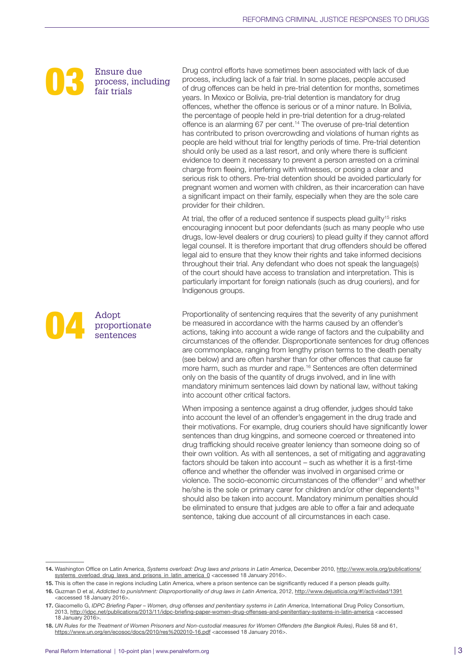

adopt<br>
Paris Propor

proportionate sentences

Ensure due<br>process, inc<br>fair trials process, including fair trials

Drug control efforts have sometimes been associated with lack of due process, including lack of a fair trial. In some places, people accused of drug offences can be held in pre‑trial detention for months, sometimes years. In Mexico or Bolivia, pre-trial detention is mandatory for drug offences, whether the offence is serious or of a minor nature. In Bolivia, the percentage of people held in pre-trial detention for a drug-related offence is an alarming 67 per cent.<sup>14</sup> The overuse of pre-trial detention has contributed to prison overcrowding and violations of human rights as people are held without trial for lengthy periods of time. Pre-trial detention should only be used as a last resort, and only where there is sufficient evidence to deem it necessary to prevent a person arrested on a criminal charge from fleeing, interfering with witnesses, or posing a clear and serious risk to others. Pre-trial detention should be avoided particularly for pregnant women and women with children, as their incarceration can have a significant impact on their family, especially when they are the sole care provider for their children.

At trial, the offer of a reduced sentence if suspects plead quilty<sup>15</sup> risks encouraging innocent but poor defendants (such as many people who use drugs, low‑level dealers or drug couriers) to plead guilty if they cannot afford legal counsel. It is therefore important that drug offenders should be offered legal aid to ensure that they know their rights and take informed decisions throughout their trial. Any defendant who does not speak the language(s) of the court should have access to translation and interpretation. This is particularly important for foreign nationals (such as drug couriers), and for Indigenous groups.

Proportionality of sentencing requires that the severity of any punishment be measured in accordance with the harms caused by an offender's actions, taking into account a wide range of factors and the culpability and circumstances of the offender. Disproportionate sentences for drug offences are commonplace, ranging from lengthy prison terms to the death penalty (see below) and are often harsher than for other offences that cause far more harm, such as murder and rape.16 Sentences are often determined only on the basis of the quantity of drugs involved, and in line with mandatory minimum sentences laid down by national law, without taking into account other critical factors.

When imposing a sentence against a drug offender, judges should take into account the level of an offender's engagement in the drug trade and their motivations. For example, drug couriers should have significantly lower sentences than drug kingpins, and someone coerced or threatened into drug trafficking should receive greater leniency than someone doing so of their own volition. As with all sentences, a set of mitigating and aggravating factors should be taken into account – such as whether it is a first-time offence and whether the offender was involved in organised crime or violence. The socio-economic circumstances of the offender<sup>17</sup> and whether he/she is the sole or primary carer for children and/or other dependents<sup>18</sup> should also be taken into account. Mandatory minimum penalties should be eliminated to ensure that judges are able to offer a fair and adequate sentence, taking due account of all circumstances in each case.

15. This is often the case in regions including Latin America, where a prison sentence can be significantly reduced if a person pleads guilty.

17. Giacomello G, *IDPC Briefing Paper – Women, drug offenses and penitentiary systems in Latin America*, International Drug Policy Consortium, 2013,<http://idpc.net/publications/2013/11/idpc-briefing-paper-women-drug-offenses-and-penitentiary-systems-in-latin-america><accessed 18 January 2016>.

<sup>14.</sup> Washington Office on Latin America, Systems overload: Drug laws and prisons in Latin America, December 2010, [http://www.wola.org/publications/](http://www.wola.org/publications/systems_overload_drug_laws_and_prisons_in_latin_america_0) [systems\\_overload\\_drug\\_laws\\_and\\_prisons\\_in\\_latin\\_america\\_0](http://www.wola.org/publications/systems_overload_drug_laws_and_prisons_in_latin_america_0) <accessed 18 January 2016>.

<sup>16.</sup> Guzman D et al, *Addicted to punishment: Disproportionality of drug laws in Latin America*, 2012,<http://www.dejusticia.org/#!/actividad/1391> <accessed 18 January 2016>.

<sup>18.</sup> *UN Rules for the Treatment of Women Prisoners and Non-custodial measures for Women Offenders (the Bangkok Rules)*, Rules 58 and 61, <https://www.un.org/en/ecosoc/docs/2010/res%202010-16.pdf><accessed 18 January 2016>.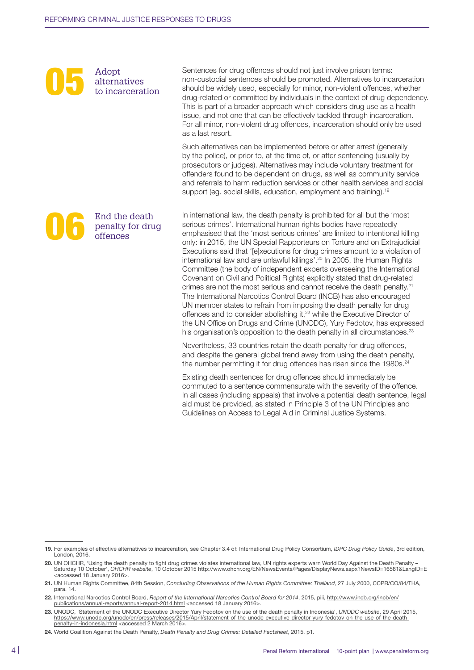

alternatives to incarceration

End the death<br>penalty for dru<br>offences

offences

penalty for drug

Sentences for drug offences should not just involve prison terms: non‑custodial sentences should be promoted. Alternatives to incarceration should be widely used, especially for minor, non‑violent offences, whether drug‑related or committed by individuals in the context of drug dependency. This is part of a broader approach which considers drug use as a health issue, and not one that can be effectively tackled through incarceration. For all minor, non-violent drug offences, incarceration should only be used as a last resort.

Such alternatives can be implemented before or after arrest (generally by the police), or prior to, at the time of, or after sentencing (usually by prosecutors or judges). Alternatives may include voluntary treatment for offenders found to be dependent on drugs, as well as community service and referrals to harm reduction services or other health services and social support (eq. social skills, education, employment and training).<sup>19</sup>

In international law, the death penalty is prohibited for all but the 'most serious crimes'. International human rights bodies have repeatedly emphasised that the 'most serious crimes' are limited to intentional killing only: in 2015, the UN Special Rapporteurs on Torture and on Extrajudicial Executions said that '[e]xecutions for drug crimes amount to a violation of international law and are unlawful killings'.20 In 2005, the Human Rights Committee (the body of independent experts overseeing the International Covenant on Civil and Political Rights) explicitly stated that drug‑related crimes are not the most serious and cannot receive the death penalty.<sup>21</sup> The International Narcotics Control Board (INCB) has also encouraged UN member states to refrain from imposing the death penalty for drug offences and to consider abolishing it,<sup>22</sup> while the Executive Director of the UN Office on Drugs and Crime (UNODC), Yury Fedotov, has expressed his organisation's opposition to the death penalty in all circumstances.<sup>23</sup>

Nevertheless, 33 countries retain the death penalty for drug offences, and despite the general global trend away from using the death penalty, the number permitting it for drug offences has risen since the 1980s.<sup>24</sup>

Existing death sentences for drug offences should immediately be commuted to a sentence commensurate with the severity of the offence. In all cases (including appeals) that involve a potential death sentence, legal aid must be provided, as stated in Principle 3 of the UN Principles and Guidelines on Access to Legal Aid in Criminal Justice Systems.

<sup>19.</sup> For examples of effective alternatives to incarceration, see Chapter 3.4 of: International Drug Policy Consortium, *IDPC Drug Policy Guide*, 3rd edition, London, 2016.

<sup>20.</sup> UN OHCHR, 'Using the death penalty to fight drug crimes violates international law. UN rights experts warn World Day Against the Death Penalty -Saturday 10 October', *OHCHR website*, 10 October 2015 <http://www.ohchr.org/EN/NewsEvents/Pages/DisplayNews.aspx?NewsID=16581&LangID=E> <accessed 18 January 2016>.

<sup>21.</sup> UN Human Rights Committee, 84th Session, *Concluding Observations of the Human Rights Committee: Thailand*, 27 July 2000, CCPR/CO/84/THA, para. 14.

<sup>22.</sup> International Narcotics Control Board, *Report of the International Narcotics Control Board for 2014*, 2015, piii, [http://www.incb.org/incb/en/](http://www.incb.org/incb/en/publications/annual-reports/annual-report-2014.html) [publications/annual-reports/annual-report-2014.html](http://www.incb.org/incb/en/publications/annual-reports/annual-report-2014.html) <accessed 18 January 2016>.

<sup>23.</sup> UNODC, 'Statement of the UNODC Executive Director Yury Fedotov on the use of the death penalty in Indonesia', *UNODC website*, 29 April 2015, [https://www.unodc.org/unodc/en/press/releases/2015/April/statement-of-the-unodc-executive-director-yury-fedotov-on-the-use-of-the-death](https://www.unodc.org/unodc/en/press/releases/2015/April/statement-of-the-unodc-executive-director-yury-fedotov-on-the-use-of-the-death-penalty-in-indonesia.html)[penalty-in-indonesia.html](https://www.unodc.org/unodc/en/press/releases/2015/April/statement-of-the-unodc-executive-director-yury-fedotov-on-the-use-of-the-death-penalty-in-indonesia.html) <accessed 2 March 2016>.

<sup>24.</sup> World Coalition Against the Death Penalty, *Death Penalty and Drug Crimes: Detailed Factsheet*, 2015, p1.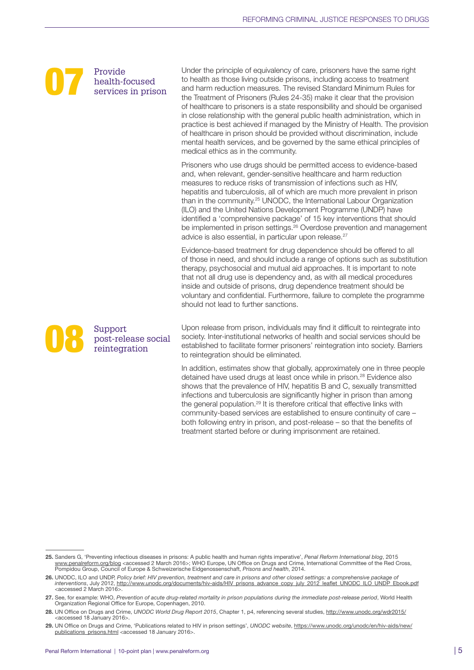## Provide<br>
Realth-form health‑focused services in prison

Support<br>post-rele<br>reintegra

post‑release social reintegration

Under the principle of equivalency of care, prisoners have the same right to health as those living outside prisons, including access to treatment and harm reduction measures. The revised Standard Minimum Rules for the Treatment of Prisoners (Rules 24‑35) make it clear that the provision of healthcare to prisoners is a state responsibility and should be organised in close relationship with the general public health administration, which in practice is best achieved if managed by the Ministry of Health. The provision of healthcare in prison should be provided without discrimination, include mental health services, and be governed by the same ethical principles of medical ethics as in the community.

Prisoners who use drugs should be permitted access to evidence‑based and, when relevant, gender‑sensitive healthcare and harm reduction measures to reduce risks of transmission of infections such as HIV, hepatitis and tuberculosis, all of which are much more prevalent in prison than in the community.25 UNODC, the International Labour Organization (ILO) and the United Nations Development Programme (UNDP) have identified a 'comprehensive package' of 15 key interventions that should be implemented in prison settings.<sup>26</sup> Overdose prevention and management advice is also essential, in particular upon release.<sup>27</sup>

Evidence-based treatment for drug dependence should be offered to all of those in need, and should include a range of options such as substitution therapy, psychosocial and mutual aid approaches. It is important to note that not all drug use is dependency and, as with all medical procedures inside and outside of prisons, drug dependence treatment should be voluntary and confidential. Furthermore, failure to complete the programme should not lead to further sanctions.

Upon release from prison, individuals may find it difficult to reintegrate into society. Inter-institutional networks of health and social services should be established to facilitate former prisoners' reintegration into society. Barriers to reintegration should be eliminated.

In addition, estimates show that globally, approximately one in three people detained have used drugs at least once while in prison.<sup>28</sup> Evidence also shows that the prevalence of HIV, hepatitis B and C, sexually transmitted infections and tuberculosis are significantly higher in prison than among the general population.<sup>29</sup> It is therefore critical that effective links with community-based services are established to ensure continuity of care both following entry in prison, and post-release – so that the benefits of treatment started before or during imprisonment are retained.

<sup>25.</sup> Sanders G, 'Preventing infectious diseases in prisons: A public health and human rights imperative', Penal Reform International blog, 2015<br>[www.penalreform.org/blog](http://www.penalreform.org/blog/) <accessed 2 March 2016>; WHO Europe, UN Office on Drug

<sup>26.</sup> UNODC, ILO and UNDP, Policy brief: HIV prevention, treatment and care in prisons and other closed settings: a comprehensive package of<br>interventions, July 2012, http://www.unodc.org/documents/hiv-aids/HIV\_prisons\_advan <accessed 2 March 2016>.

<sup>27.</sup> See, for example: WHO, *Prevention of acute drug-related mortality in prison populations during the immediate post-release period*, World Health Organization Regional Office for Europe, Copenhagen, 2010.

<sup>28.</sup> UN Office on Drugs and Crime, *UNODC World Drug Report 2015*, Chapter 1, p4, referencing several studies, <http://www.unodc.org/wdr2015/> <accessed 18 January 2016>.

<sup>29.</sup> UN Office on Drugs and Crime, 'Publications related to HIV in prison settings', *UNODC website*, [https://www.unodc.org/unodc/en/hiv-aids/new/](https://www.unodc.org/unodc/en/hiv-aids/new/publications_prisons.html) [publications\\_prisons.html](https://www.unodc.org/unodc/en/hiv-aids/new/publications_prisons.html) <accessed 18 January 2016>.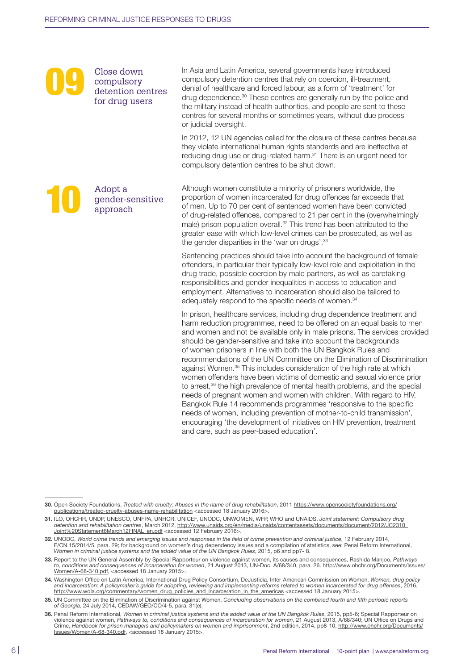## Close down<br>
compulsory<br>
detention centres<br>
for drug users compulsory for drug users

gender‑sensitive

approach

al dopt a gender-s

In Asia and Latin America, several governments have introduced compulsory detention centres that rely on coercion, ill-treatment, denial of healthcare and forced labour, as a form of 'treatment' for drug dependence.<sup>30</sup> These centres are generally run by the police and the military instead of health authorities, and people are sent to these centres for several months or sometimes years, without due process or judicial oversight.

In 2012, 12 UN agencies called for the closure of these centres because they violate international human rights standards and are ineffective at reducing drug use or drug-related harm.<sup>31</sup> There is an urgent need for compulsory detention centres to be shut down.

#### Although women constitute a minority of prisoners worldwide, the proportion of women incarcerated for drug offences far exceeds that of men. Up to 70 per cent of sentenced women have been convicted of drug-related offences, compared to 21 per cent in the (overwhelmingly male) prison population overall.<sup>32</sup> This trend has been attributed to the greater ease with which low‑level crimes can be prosecuted, as well as the gender disparities in the 'war on drugs'.33

Sentencing practices should take into account the background of female offenders, in particular their typically low‑level role and exploitation in the drug trade, possible coercion by male partners, as well as caretaking responsibilities and gender inequalities in access to education and employment. Alternatives to incarceration should also be tailored to adequately respond to the specific needs of women.<sup>34</sup>

In prison, healthcare services, including drug dependence treatment and harm reduction programmes, need to be offered on an equal basis to men and women and not be available only in male prisons. The services provided should be gender‑sensitive and take into account the backgrounds of women prisoners in line with both the UN Bangkok Rules and recommendations of the UN Committee on the Elimination of Discrimination against Women.<sup>35</sup> This includes consideration of the high rate at which women offenders have been victims of domestic and sexual violence prior to arrest,<sup>36</sup> the high prevalence of mental health problems, and the special needs of pregnant women and women with children. With regard to HIV, Bangkok Rule 14 recommends programmes 'responsive to the specific needs of women, including prevention of mother-to-child transmission', encouraging 'the development of initiatives on HIV prevention, treatment and care, such as peer‑based education'.

<sup>30.</sup> Open Society Foundations, *Treated with cruelty: Abuses in the name of drug rehabilitation*, 2011 [https://www.opensocietyfoundations.org/](https://www.opensocietyfoundations.org/publications/treated-cruelty-abuses-name-rehabilitation) [publications/treated-cruelty-abuses-name-rehabilitation](https://www.opensocietyfoundations.org/publications/treated-cruelty-abuses-name-rehabilitation) <accessed 18 January 2016>.

<sup>31.</sup> ILO, OHCHR, UNDP, UNESCO, UNFPA, UNHCR, UNICEF, UNODC, UNWOMEN, WFP, WHO and UNAIDS, *Joint statement: Compulsory drug detention and rehabilitation centres*, March 2012, [http://www.unaids.org/en/media/unaids/contentassets/documents/document/2012/JC2310\\_](http://www.unaids.org/en/media/unaids/contentassets/documents/document/2012/JC2310_Joint%20Statement6March12FINAL_en.pdf) [Joint%20Statement6March12FINAL\\_en.pdf](http://www.unaids.org/en/media/unaids/contentassets/documents/document/2012/JC2310_Joint%20Statement6March12FINAL_en.pdf) <accessed 12 February 2016>.

<sup>32.</sup> UNODC, *World crime trends and emerging issues and responses in the field of crime prevention and criminal justice*, 12 February 2014, E/CN.15/2014/5, para. 29; for background on women's drug dependency issues and a compilation of statistics, see: Penal Reform International, *Women in criminal justice systems and the added value of the UN Bangkok Rules*, 2015, p6 and pp7- 8.

<sup>33.</sup> Report to the UN General Assembly by Special Rapporteur on violence against women, its causes and consequences, Rashida Manjoo, Pathways<br>to, conditions and consequences of incarceration for women, 21 August 2013, UN-Do [Women/A-68-340.pdf,](http://www.ohchr.org/Documents/Issues/Women/A-68-340.pdf) <accessed 18 January 2015>.

<sup>34.</sup> Washington Office on Latin America, International Drug Policy Consortium, DeJusticia, Inter-American Commission on Women, *Women, drug policy and incarceration: A policymaker's guide for adopting, reviewing and implementing reforms related to women incarcerated for drug offenses*, 2016, [http://www.wola.org/commentary/women\\_drug\\_policies\\_and\\_incarceration\\_in\\_the\\_americas](http://www.wola.org/commentary/women_drug_policies_and_incarceration_in_the_americas) <accessed 18 January 2015>.

<sup>35.</sup> UN Committee on the Elimination of Discrimination against Women, *Concluding observations on the combined fourth and fifth periodic reports of Georgia*, 24 July 2014, CEDAW/GEO/CO/4-5, para. 31(e).

<sup>36.</sup> Penal Reform International, *Women in criminal justice systems and the added value of the UN Bangkok Rules*, 2015, pp5-6; Special Rapporteur on violence against women, *Pathways to, conditions and consequences of incarceration for women*, 21 August 2013, A/68/340; UN Office on Drugs and Crime, *Handbook for prison managers and policymakers on women and imprisonment*, 2nd edition, 2014, pp8-10, [http://www.ohchr.org/Documents/](http://www.ohchr.org/Documents/Issues/Women/A-68-340.pdf) [Issues/Women/A-68-340.pdf,](http://www.ohchr.org/Documents/Issues/Women/A-68-340.pdf) <accessed 18 January 2015>.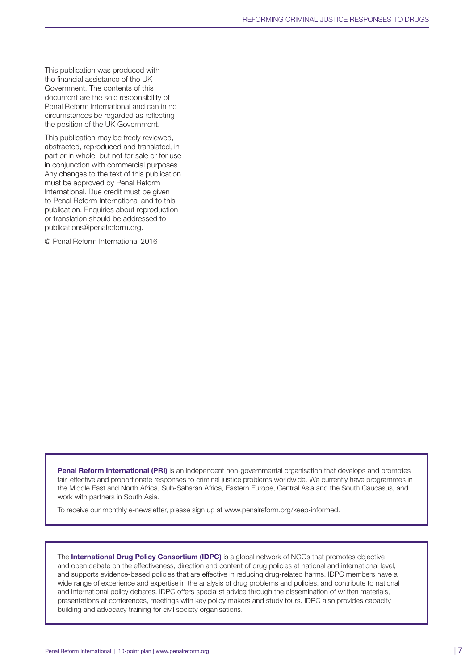This publication was produced with the financial assistance of the UK Government. The contents of this document are the sole responsibility of Penal Reform International and can in no circumstances be regarded as reflecting the position of the UK Government.

This publication may be freely reviewed, abstracted, reproduced and translated, in part or in whole, but not for sale or for use in conjunction with commercial purposes. Any changes to the text of this publication must be approved by Penal Reform International. Due credit must be given to Penal Reform International and to this publication. Enquiries about reproduction or translation should be addressed to [publications@penalreform.org](mailto:publications%40penalreform.org?subject=).

© Penal Reform International 2016

Penal Reform International (PRI) is an independent non-governmental organisation that develops and promotes fair, effective and proportionate responses to criminal justice problems worldwide. We currently have programmes in the Middle East and North Africa, Sub-Saharan Africa, Eastern Europe, Central Asia and the South Caucasus, and work with partners in South Asia.

To receive our monthly e-newsletter, please sign up at [www.penalreform.org/keep-informed.](http://www.penalreform.org/keep-informed/)

The International Drug Policy Consortium (IDPC) is a global network of NGOs that promotes objective and open debate on the effectiveness, direction and content of drug policies at national and international level, and supports evidence-based policies that are effective in reducing drug-related harms. IDPC members have a wide range of experience and expertise in the analysis of drug problems and policies, and contribute to national and international policy debates. IDPC offers specialist advice through the dissemination of written materials, presentations at conferences, meetings with key policy makers and study tours. IDPC also provides capacity building and advocacy training for civil society organisations.